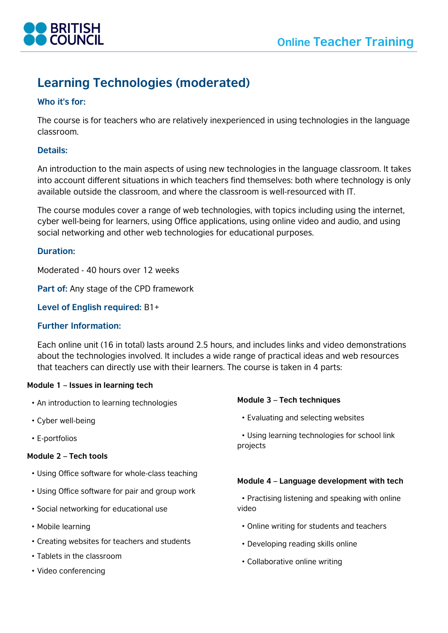

# **Learning Technologies (moderated)**

# **Who it's for:**

The course is for teachers who are relatively inexperienced in using technologies in the language classroom.

# **Details:**

An introduction to the main aspects of using new technologies in the language classroom. It takes into account different situations in which teachers find themselves: both where technology is only available outside the classroom, and where the classroom is well-resourced with IT.

The course modules cover a range of web technologies, with topics including using the internet, cyber well-being for learners, using Office applications, using online video and audio, and using social networking and other web technologies for educational purposes.

## **Duration:**

Moderated - 40 hours over 12 weeks

**Part of:** Any stage of the CPD framework

**Level of English required:** B1+

## **Further Information:**

Each online unit (16 in total) lasts around 2.5 hours, and includes links and video demonstrations about the technologies involved. It includes a wide range of practical ideas and web resources that teachers can directly use with their learners. The course is taken in 4 parts:

## **Module 1 – Issues in learning tech**

- An introduction to learning technologies
- Cyber well-being
- E-portfolios

#### **Module 2 – Tech tools**

- Using Office software for whole-class teaching
- Using Office software for pair and group work
- Social networking for educational use
- Mobile learning
- Creating websites for teachers and students
- Tablets in the classroom
- Video conferencing

## **Module 3 – Tech techniques**

• Evaluating and selecting websites

 • Using learning technologies for school link projects

## **Module 4 – Language development with tech**

- Practising listening and speaking with online video
	- Online writing for students and teachers
	- Developing reading skills online
	- Collaborative online writing